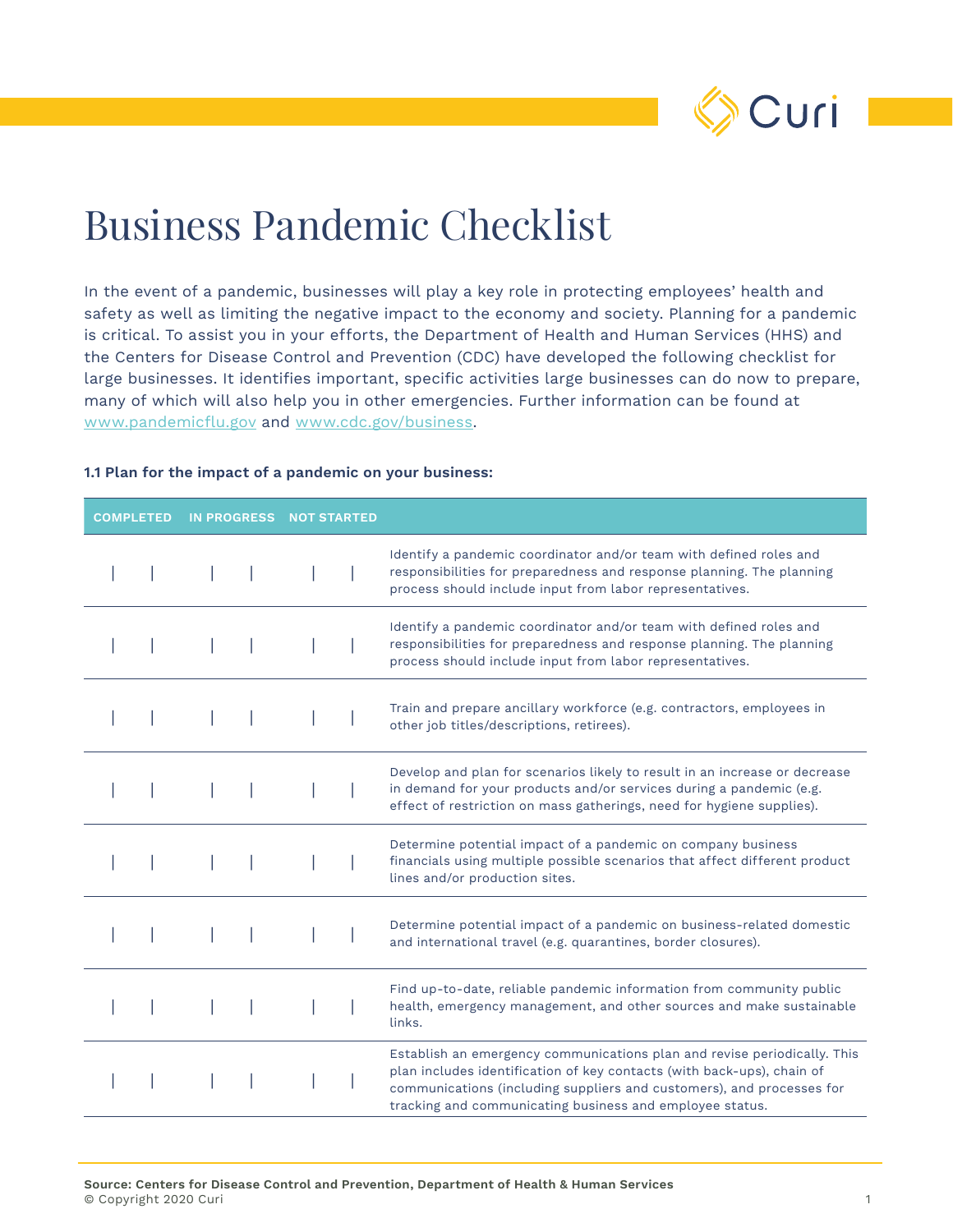

# Business Pandemic Checklist

In the event of a pandemic, businesses will play a key role in protecting employees' health and safety as well as limiting the negative impact to the economy and society. Planning for a pandemic is critical. To assist you in your efforts, the Department of Health and Human Services (HHS) and the Centers for Disease Control and Prevention (CDC) have developed the following checklist for large businesses. It identifies important, specific activities large businesses can do now to prepare, many of which will also help you in other emergencies. Further information can be found at www.pandemicflu.gov and www.cdc.gov/business.

| <b>COMPLETED</b><br><b>IN PROGRESS</b> |  | <b>NOT STARTED</b> |  |                                                                                                                                                                                                                                                                                         |
|----------------------------------------|--|--------------------|--|-----------------------------------------------------------------------------------------------------------------------------------------------------------------------------------------------------------------------------------------------------------------------------------------|
|                                        |  |                    |  | Identify a pandemic coordinator and/or team with defined roles and<br>responsibilities for preparedness and response planning. The planning<br>process should include input from labor representatives.                                                                                 |
|                                        |  |                    |  | Identify a pandemic coordinator and/or team with defined roles and<br>responsibilities for preparedness and response planning. The planning<br>process should include input from labor representatives.                                                                                 |
|                                        |  |                    |  | Train and prepare ancillary workforce (e.g. contractors, employees in<br>other job titles/descriptions, retirees).                                                                                                                                                                      |
|                                        |  |                    |  | Develop and plan for scenarios likely to result in an increase or decrease<br>in demand for your products and/or services during a pandemic (e.g.<br>effect of restriction on mass gatherings, need for hygiene supplies).                                                              |
|                                        |  |                    |  | Determine potential impact of a pandemic on company business<br>financials using multiple possible scenarios that affect different product<br>lines and/or production sites.                                                                                                            |
|                                        |  |                    |  | Determine potential impact of a pandemic on business-related domestic<br>and international travel (e.g. quarantines, border closures).                                                                                                                                                  |
|                                        |  |                    |  | Find up-to-date, reliable pandemic information from community public<br>health, emergency management, and other sources and make sustainable<br>links.                                                                                                                                  |
|                                        |  |                    |  | Establish an emergency communications plan and revise periodically. This<br>plan includes identification of key contacts (with back-ups), chain of<br>communications (including suppliers and customers), and processes for<br>tracking and communicating business and employee status. |

#### **1.1 Plan for the impact of a pandemic on your business:**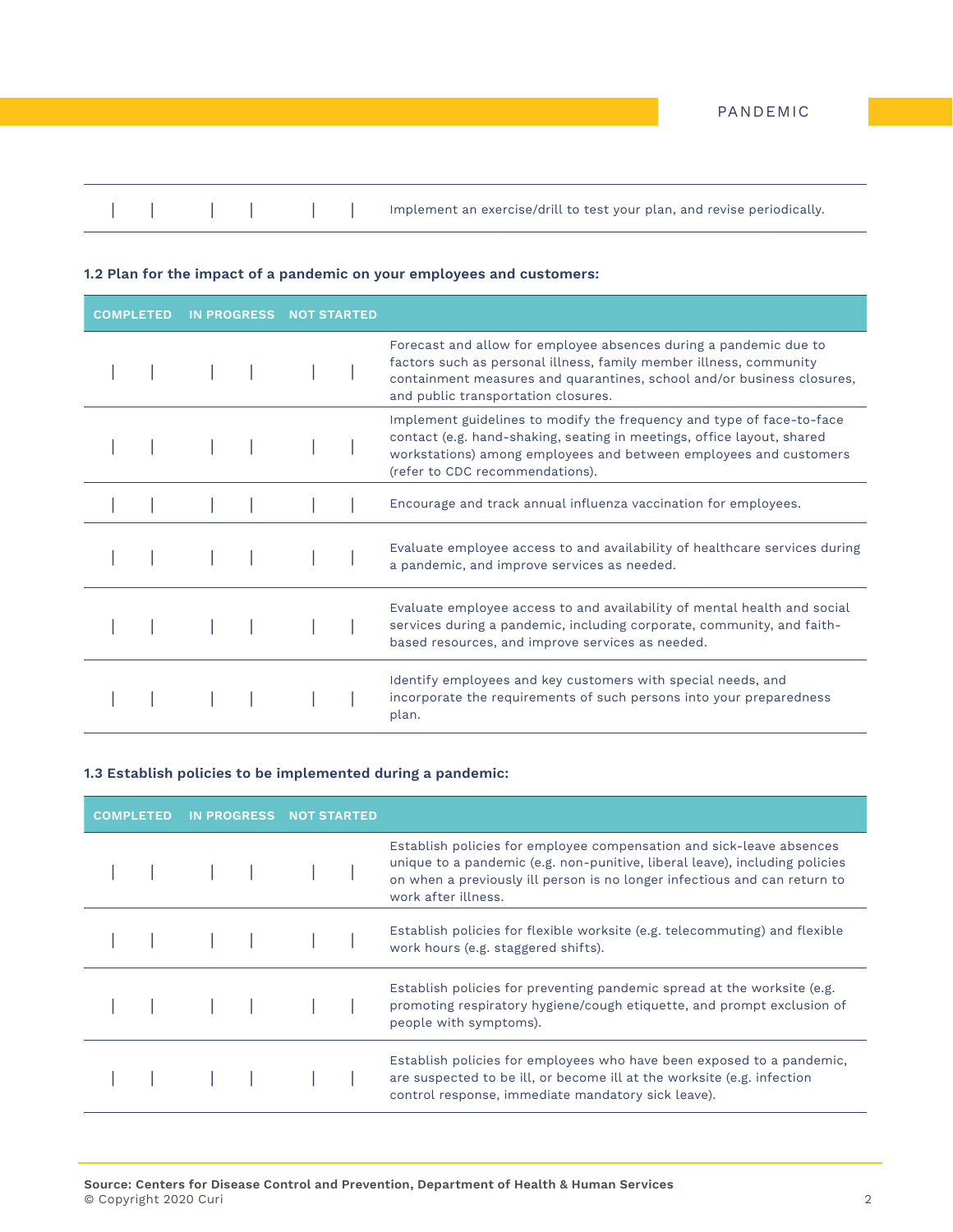|  |  | Implement an exercise/drill to test your plan, and revise periodically. |
|--|--|-------------------------------------------------------------------------|
|  |  |                                                                         |

### **1.2 Plan for the impact of a pandemic on your employees and customers:**

| <b>COMPLETED</b> |  | <b>IN PROGRESS</b> | <b>NOT STARTED</b> |  |                                                                                                                                                                                                                                                          |
|------------------|--|--------------------|--------------------|--|----------------------------------------------------------------------------------------------------------------------------------------------------------------------------------------------------------------------------------------------------------|
|                  |  |                    |                    |  | Forecast and allow for employee absences during a pandemic due to<br>factors such as personal illness, family member illness, community<br>containment measures and quarantines, school and/or business closures,<br>and public transportation closures. |
|                  |  |                    |                    |  | Implement guidelines to modify the frequency and type of face-to-face<br>contact (e.g. hand-shaking, seating in meetings, office layout, shared<br>workstations) among employees and between employees and customers<br>(refer to CDC recommendations).  |
|                  |  |                    |                    |  | Encourage and track annual influenza vaccination for employees.                                                                                                                                                                                          |
|                  |  |                    |                    |  | Evaluate employee access to and availability of healthcare services during<br>a pandemic, and improve services as needed.                                                                                                                                |
|                  |  |                    |                    |  | Evaluate employee access to and availability of mental health and social<br>services during a pandemic, including corporate, community, and faith-<br>based resources, and improve services as needed.                                                   |
|                  |  |                    |                    |  | Identify employees and key customers with special needs, and<br>incorporate the requirements of such persons into your preparedness<br>plan.                                                                                                             |

#### **1.3 Establish policies to be implemented during a pandemic:**

| <b>COMPLETED</b> |  | IN PROGRESS NOT STARTED |                                                                                                                                                                                                                                                         |
|------------------|--|-------------------------|---------------------------------------------------------------------------------------------------------------------------------------------------------------------------------------------------------------------------------------------------------|
|                  |  |                         | Establish policies for employee compensation and sick-leave absences<br>unique to a pandemic (e.g. non-punitive, liberal leave), including policies<br>on when a previously ill person is no longer infectious and can return to<br>work after illness. |
|                  |  |                         | Establish policies for flexible worksite (e.g. telecommuting) and flexible<br>work hours (e.g. staggered shifts).                                                                                                                                       |
|                  |  |                         | Establish policies for preventing pandemic spread at the worksite (e.g.<br>promoting respiratory hygiene/cough etiquette, and prompt exclusion of<br>people with symptoms).                                                                             |
|                  |  |                         | Establish policies for employees who have been exposed to a pandemic,<br>are suspected to be ill, or become ill at the worksite (e.g. infection<br>control response, immediate mandatory sick leave).                                                   |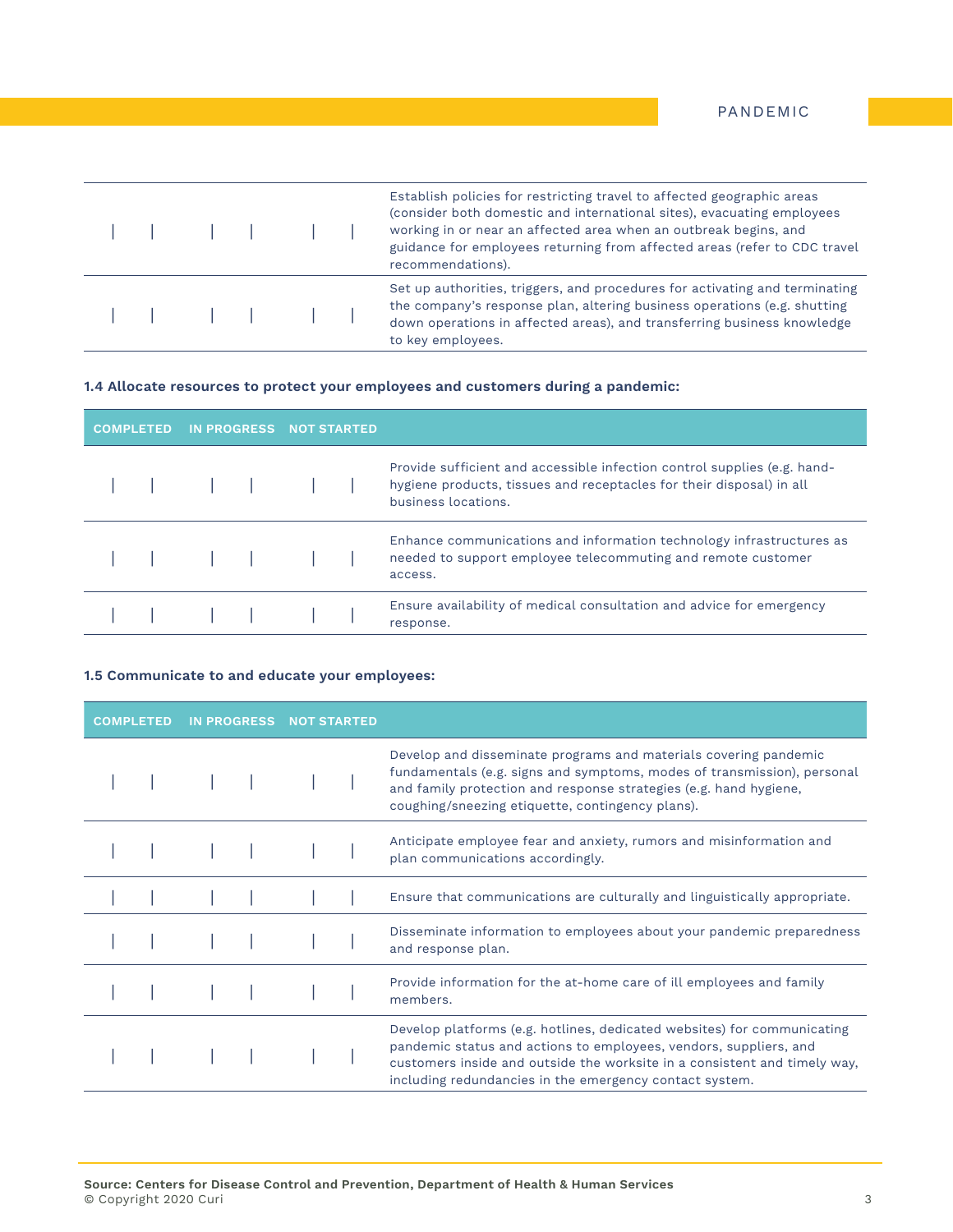|  |  |  | Establish policies for restricting travel to affected geographic areas<br>(consider both domestic and international sites), evacuating employees<br>working in or near an affected area when an outbreak begins, and<br>guidance for employees returning from affected areas (refer to CDC travel<br>recommendations). |
|--|--|--|------------------------------------------------------------------------------------------------------------------------------------------------------------------------------------------------------------------------------------------------------------------------------------------------------------------------|
|  |  |  | Set up authorities, triggers, and procedures for activating and terminating<br>the company's response plan, altering business operations (e.g. shutting<br>down operations in affected areas), and transferring business knowledge<br>to key employees.                                                                |

## **1.4 Allocate resources to protect your employees and customers during a pandemic:**

| <b>COMPLETED</b> |  | IN PROGRESS NOT STARTED |                                                                                                                                                                         |  |
|------------------|--|-------------------------|-------------------------------------------------------------------------------------------------------------------------------------------------------------------------|--|
|                  |  |                         | Provide sufficient and accessible infection control supplies (e.g. hand-<br>hygiene products, tissues and receptacles for their disposal) in all<br>business locations. |  |
|                  |  |                         | Enhance communications and information technology infrastructures as<br>needed to support employee telecommuting and remote customer<br>access.                         |  |
|                  |  | 1 1 1 1 1 1 1           | Ensure availability of medical consultation and advice for emergency<br>response.                                                                                       |  |

### **1.5 Communicate to and educate your employees:**

| <b>COMPLETED</b> | <b>IN PROGRESS</b> | <b>NOT STARTED</b> |                                                                                                                                                                                                                                                                                      |
|------------------|--------------------|--------------------|--------------------------------------------------------------------------------------------------------------------------------------------------------------------------------------------------------------------------------------------------------------------------------------|
|                  |                    |                    | Develop and disseminate programs and materials covering pandemic<br>fundamentals (e.g. signs and symptoms, modes of transmission), personal<br>and family protection and response strategies (e.g. hand hygiene,<br>coughing/sneezing etiquette, contingency plans).                 |
|                  |                    |                    | Anticipate employee fear and anxiety, rumors and misinformation and<br>plan communications accordingly.                                                                                                                                                                              |
|                  |                    |                    | Ensure that communications are culturally and linguistically appropriate.                                                                                                                                                                                                            |
|                  |                    |                    | Disseminate information to employees about your pandemic preparedness<br>and response plan.                                                                                                                                                                                          |
|                  |                    |                    | Provide information for the at-home care of ill employees and family<br>members.                                                                                                                                                                                                     |
|                  |                    |                    | Develop platforms (e.g. hotlines, dedicated websites) for communicating<br>pandemic status and actions to employees, vendors, suppliers, and<br>customers inside and outside the worksite in a consistent and timely way,<br>including redundancies in the emergency contact system. |